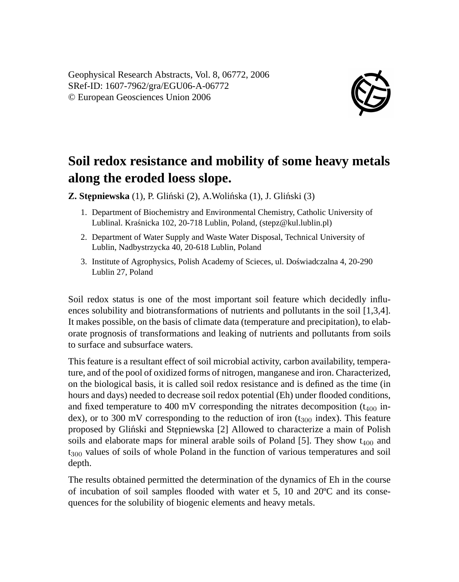

## **Soil redox resistance and mobility of some heavy metals along the eroded loess slope.**

**Z. Stępniewska** (1), P. Gliński (2), A.Wolińska (1), J. Gliński (3)

- 1. Department of Biochemistry and Environmental Chemistry, Catholic University of Lublinal. Krasnicka 102, 20-718 Lublin, Poland, (stepz@kul.lublin.pl) ´
- 2. Department of Water Supply and Waste Water Disposal, Technical University of Lublin, Nadbystrzycka 40, 20-618 Lublin, Poland
- 3. Institute of Agrophysics, Polish Academy of Scieces, ul. Doswiadczalna 4, 20-290 ´ Lublin 27, Poland

Soil redox status is one of the most important soil feature which decidedly influences solubility and biotransformations of nutrients and pollutants in the soil [1,3,4]. It makes possible, on the basis of climate data (temperature and precipitation), to elaborate prognosis of transformations and leaking of nutrients and pollutants from soils to surface and subsurface waters.

This feature is a resultant effect of soil microbial activity, carbon availability, temperature, and of the pool of oxidized forms of nitrogen, manganese and iron. Characterized, on the biological basis, it is called soil redox resistance and is defined as the time (in hours and days) needed to decrease soil redox potential (Eh) under flooded conditions, and fixed temperature to 400 mV corresponding the nitrates decomposition ( $t_{400}$  index), or to 300 mV corresponding to the reduction of iron  $(t_{300} \text{ index})$ . This feature proposed by Glinski and Stepniewska [2] Allowed to characterize a main of Polish soils and elaborate maps for mineral arable soils of Poland [5]. They show  $t_{400}$  and  $t_{300}$  values of soils of whole Poland in the function of various temperatures and soil depth.

The results obtained permitted the determination of the dynamics of Eh in the course of incubation of soil samples flooded with water et 5, 10 and 20ºC and its consequences for the solubility of biogenic elements and heavy metals.